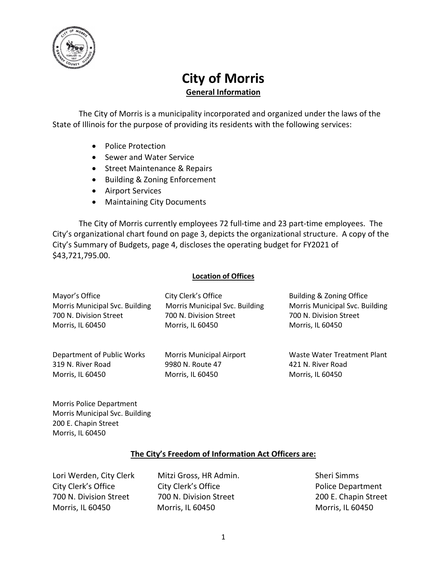

## **City of Morris General Information**

The City of Morris is a municipality incorporated and organized under the laws of the State of Illinois for the purpose of providing its residents with the following services:

- Police Protection
- Sewer and Water Service
- Street Maintenance & Repairs
- Building & Zoning Enforcement
- Airport Services
- Maintaining City Documents

The City of Morris currently employees 72 full-time and 23 part-time employees. The City's organizational chart found on page 3, depicts the organizational structure. A copy of the City's Summary of Budgets, page 4, discloses the operating budget for FY2021 of \$43,721,795.00.

## **Location of Offices**

| Mayor's Office                 | City Clerk's Office             | Building & Zoning Office       |
|--------------------------------|---------------------------------|--------------------------------|
| Morris Municipal Svc. Building | Morris Municipal Svc. Building  | Morris Municipal Svc. Building |
| 700 N. Division Street         | 700 N. Division Street          | 700 N. Division Street         |
| Morris, IL 60450               | Morris, IL 60450                | Morris, IL 60450               |
| Department of Public Works     | <b>Morris Municipal Airport</b> | Waste Water Treatment Plant    |
| 319 N. River Road              | 9980 N. Route 47                | 421 N. River Road              |
| Morris, IL 60450               | Morris, IL 60450                | Morris, IL 60450               |

Morris Police Department Morris Municipal Svc. Building 200 E. Chapin Street Morris, IL 60450

## **The City's Freedom of Information Act Officers are:**

Lori Werden, City Clerk Mitzi Gross, HR Admin. Sheri Simms City Clerk's Office **City Clerk's Office City Clerk's Office Police Department** 700 N. Division Street 700 N. Division Street 200 E. Chapin Street Morris, IL 60450 Morris, IL 60450 Morris, IL 60450